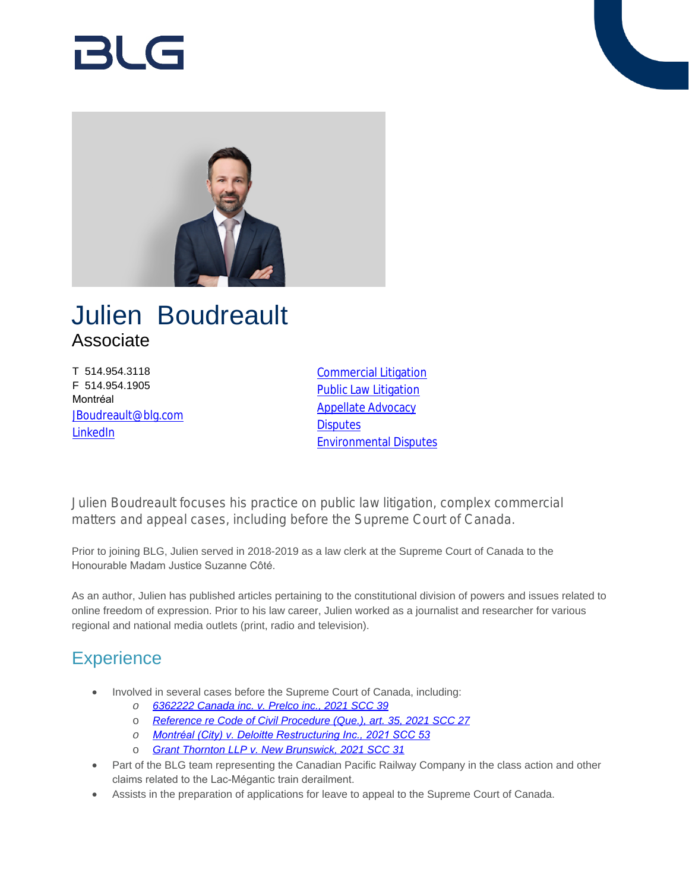# RI G



## Julien Boudreault Associate

T 514.954.3118 F 514.954.1905 Montréal [JBoudreault@blg.com](mailto:JBoudreault@blg.com) [LinkedIn](https://ca.linkedin.com/in/julien-boudreault-15013249)

[Commercial Litigation](https://www.blg.com/en/services/practice-areas/disputes/commercial-litigation) [Public Law Litigation](https://www.blg.com/en/services/practice-areas/disputes/public-law-litigation) [Appellate Advocacy](https://www.blg.com/en/services/practice-areas/disputes/appellate-advocacy) **[Disputes](https://www.blg.com/en/services/practice-areas/disputes)** [Environmental Disputes](https://www.blg.com/en/services/practice-areas/disputes/environmental-disputes)

Julien Boudreault focuses his practice on public law litigation, complex commercial matters and appeal cases, including before the Supreme Court of Canada.

Prior to joining BLG, Julien served in 2018-2019 as a law clerk at the Supreme Court of Canada to the Honourable Madam Justice Suzanne Côté.

As an author, Julien has published articles pertaining to the constitutional division of powers and issues related to online freedom of expression. Prior to his law career, Julien worked as a journalist and researcher for various regional and national media outlets (print, radio and television).

## **Experience**

- Involved in several cases before the Supreme Court of Canada, including:
	- *o [6362222 Canada inc. v. Prelco inc., 2021 SCC 39](https://www.canlii.org/en/ca/scc/doc/2021/2021scc39/2021scc39.html)*
	- o *[Reference re Code of Civil Procedure \(Que.\), art. 35, 2021 SCC 27](https://www.canlii.org/en/ca/scc/doc/2021/2021scc27/2021scc27.html)*
	- *o [Montréal \(City\) v. Deloitte Restructuring Inc., 2021 SCC 53](https://www.canlii.org/en/ca/scc/doc/2021/2021scc53/2021scc53.html)*
	- o *[Grant Thornton LLP v. New Brunswick, 2021 SCC 31](https://www.canlii.org/en/ca/scc/doc/2021/2021scc31/2021scc31.html)*
- Part of the BLG team representing the Canadian Pacific Railway Company in the class action and other claims related to the Lac-Mégantic train derailment.
- Assists in the preparation of applications for leave to appeal to the Supreme Court of Canada.